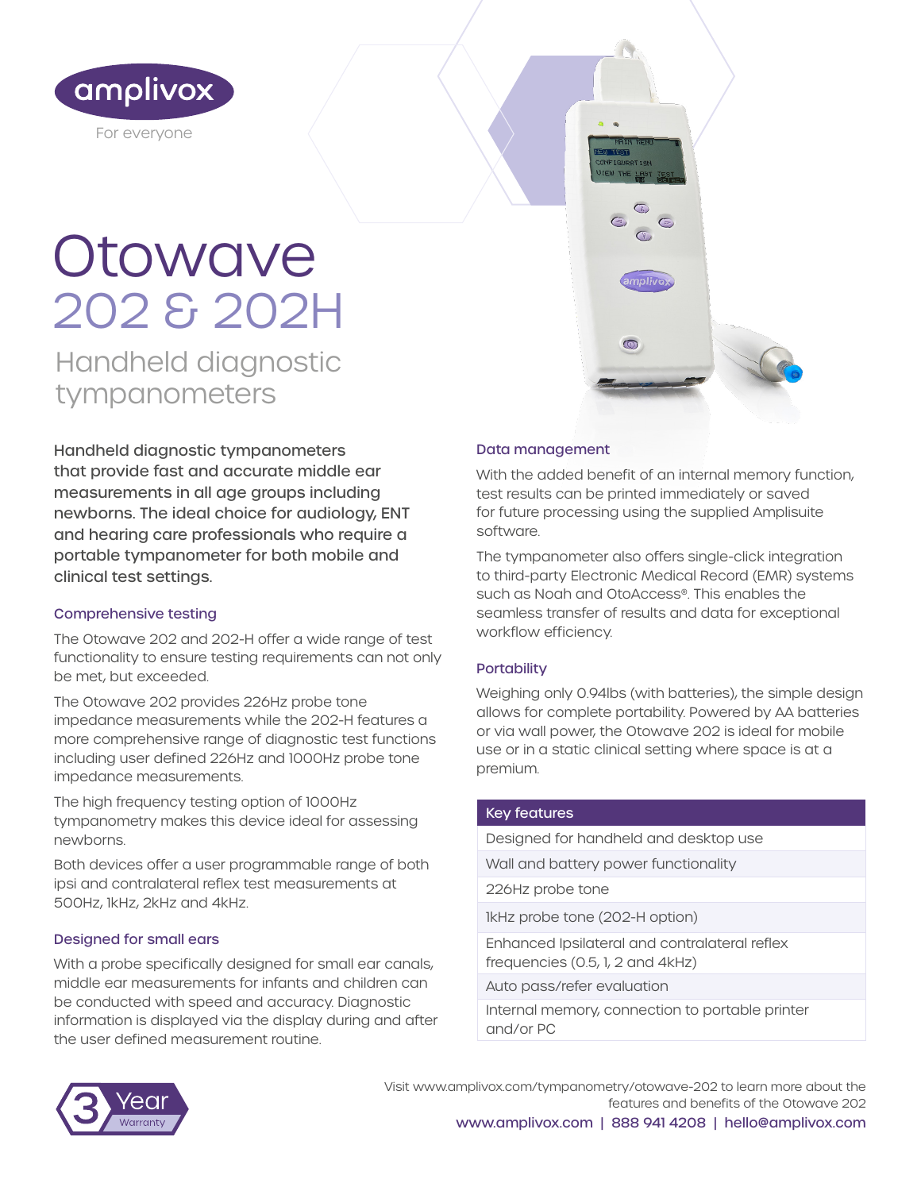

# **Otowave** 202 & 202H

Handheld diagnostic tympanometers

Handheld diagnostic tympanometers that provide fast and accurate middle ear measurements in all age groups including newborns. The ideal choice for audiology, ENT and hearing care professionals who require a portable tympanometer for both mobile and clinical test settings.

# Comprehensive testing

The Otowave 202 and 202-H offer a wide range of test functionality to ensure testing requirements can not only be met, but exceeded.

The Otowave 202 provides 226Hz probe tone impedance measurements while the 202-H features a more comprehensive range of diagnostic test functions including user defined 226Hz and 1000Hz probe tone impedance measurements.

The high frequency testing option of 1000Hz tympanometry makes this device ideal for assessing newborns.

Both devices offer a user programmable range of both ipsi and contralateral reflex test measurements at 500Hz, 1kHz, 2kHz and 4kHz.

# Designed for small ears

With a probe specifically designed for small ear canals, middle ear measurements for infants and children can be conducted with speed and accuracy. Diagnostic information is displayed via the display during and after the user defined measurement routine.

# Data management

With the added benefit of an internal memory function, test results can be printed immediately or saved for future processing using the supplied Amplisuite software.

The tympanometer also offers single-click integration to third-party Electronic Medical Record (EMR) systems such as Noah and OtoAccess®. This enables the seamless transfer of results and data for exceptional workflow efficiency.

# **Portability**

Weighing only 0.94lbs (with batteries), the simple design allows for complete portability. Powered by AA batteries or via wall power, the Otowave 202 is ideal for mobile use or in a static clinical setting where space is at a premium.

#### Key features

Designed for handheld and desktop use

Wall and battery power functionality

226Hz probe tone

1kHz probe tone (202-H option)

Enhanced Ipsilateral and contralateral reflex frequencies (0.5, 1, 2 and 4kHz)

Auto pass/refer evaluation

Internal memory, connection to portable printer and/or PC



Visit www.amplivox.com/tympanometry/otowave-202 to learn more about the features and benefits of the Otowave 202